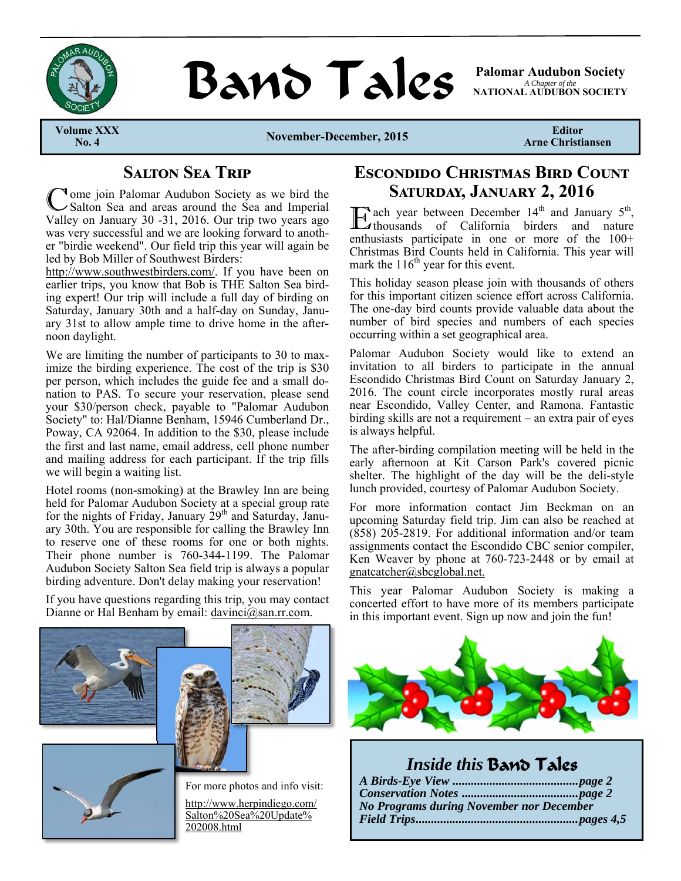

# **BAND TAILS** Palomar Audubon Society

*A Chapter of the*  **NATIONAL AUDUBON SOCIETY** 

**Volume XXX** 

**No. 4 November-December, 2015** 

**Editor Arne Christiansen** 

# **SALTON SEA TRIP**

**Iome join Palomar Audubon Society as we bird the** Salton Sea and areas around the Sea and Imperial Valley on January 30 -31, 2016. Our trip two years ago was very successful and we are looking forward to another "birdie weekend". Our field trip this year will again be led by Bob Miller of Southwest Birders:

http://www.southwestbirders.com/. If you have been on earlier trips, you know that Bob is THE Salton Sea birding expert! Our trip will include a full day of birding on Saturday, January 30th and a half-day on Sunday, January 31st to allow ample time to drive home in the afternoon daylight.

We are limiting the number of participants to 30 to maximize the birding experience. The cost of the trip is \$30 per person, which includes the guide fee and a small donation to PAS. To secure your reservation, please send your \$30/person check, payable to "Palomar Audubon Society" to: Hal/Dianne Benham, 15946 Cumberland Dr., Poway, CA 92064. In addition to the \$30, please include the first and last name, email address, cell phone number and mailing address for each participant. If the trip fills we will begin a waiting list.

Hotel rooms (non-smoking) at the Brawley Inn are being held for Palomar Audubon Society at a special group rate for the nights of Friday, January  $29<sup>th</sup>$  and Saturday, January 30th. You are responsible for calling the Brawley Inn to reserve one of these rooms for one or both nights. Their phone number is 760-344-1199. The Palomar Audubon Society Salton Sea field trip is always a popular birding adventure. Don't delay making your reservation!

If you have questions regarding this trip, you may contact Dianne or Hal Benham by email: davinci@san.rr.com.

# **ESCONDIDO CHRISTMAS BIRD COUNT SATURDAY, JANUARY 2, 2016**

 $\sum$  ach year between December 14<sup>th</sup> and January 5<sup>th</sup>, thousands of California birders and nature enthusiasts participate in one or more of the 100+ Christmas Bird Counts held in California. This year will mark the  $116<sup>th</sup>$  year for this event.

This holiday season please join with thousands of others for this important citizen science effort across California. The one-day bird counts provide valuable data about the number of bird species and numbers of each species occurring within a set geographical area.

Palomar Audubon Society would like to extend an invitation to all birders to participate in the annual Escondido Christmas Bird Count on Saturday January 2, 2016. The count circle incorporates mostly rural areas near Escondido, Valley Center, and Ramona. Fantastic birding skills are not a requirement – an extra pair of eyes is always helpful.

The after-birding compilation meeting will be held in the early afternoon at Kit Carson Park's covered picnic shelter. The highlight of the day will be the deli-style lunch provided, courtesy of Palomar Audubon Society.

For more information contact Jim Beckman on an upcoming Saturday field trip. Jim can also be reached at (858) 205-2819. For additional information and/or team assignments contact the Escondido CBC senior compiler, Ken Weaver by phone at 760-723-2448 or by email at gnatcatcher@sbcglobal.net.

This year Palomar Audubon Society is making a concerted effort to have more of its members participate in this important event. Sign up now and join the fun!

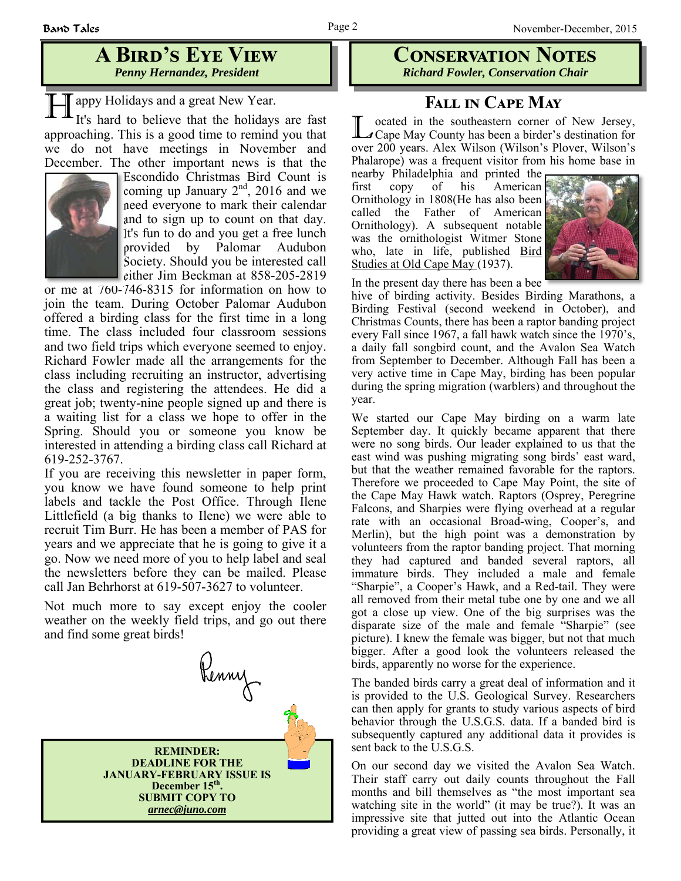# **A BIRD'S EYE VIEW** *Penny Hernandez, President*

**H** appy Holidays and a great New Year.<br>It's hard to believe that the holidays are fast

approaching. This is a good time to remind you that we do not have meetings in November and December. The other important news is that the



Escondido Christmas Bird Count is coming up January  $2^{nd}$ , 2016 and we need everyone to mark their calendar and to sign up to count on that day. It's fun to do and you get a free lunch provided by Palomar Audubon Society. Should you be interested call either Jim Beckman at 858-205-2819

or me at 760-746-8315 for information on how to join the team. During October Palomar Audubon offered a birding class for the first time in a long time. The class included four classroom sessions and two field trips which everyone seemed to enjoy. Richard Fowler made all the arrangements for the class including recruiting an instructor, advertising the class and registering the attendees. He did a great job; twenty-nine people signed up and there is a waiting list for a class we hope to offer in the Spring. Should you or someone you know be interested in attending a birding class call Richard at 619-252-3767.

If you are receiving this newsletter in paper form, you know we have found someone to help print labels and tackle the Post Office. Through Ilene Littlefield (a big thanks to Ilene) we were able to recruit Tim Burr. He has been a member of PAS for years and we appreciate that he is going to give it a go. Now we need more of you to help label and seal the newsletters before they can be mailed. Please call Jan Behrhorst at 619-507-3627 to volunteer.

Not much more to say except enjoy the cooler weather on the weekly field trips, and go out there and find some great birds!



**CONSERVATION NOTES** *Richard Fowler, Conservation Chair*

## **FALL IN CAPE MAY**

ocated in the southeastern corner of New Jersey, ⊿Cape May County has been a birder's destination for over 200 years. Alex Wilson (Wilson's Plover, Wilson's Phalarope) was a frequent visitor from his home base in

nearby Philadelphia and printed the first copy of his American Ornithology in 1808(He has also been called the Father of American Ornithology). A subsequent notable was the ornithologist Witmer Stone who, late in life, published Bird Studies at Old Cape May (1937).



In the present day there has been a bee

hive of birding activity. Besides Birding Marathons, a Birding Festival (second weekend in October), and Christmas Counts, there has been a raptor banding project every Fall since 1967, a fall hawk watch since the 1970's, a daily fall songbird count, and the Avalon Sea Watch from September to December. Although Fall has been a very active time in Cape May, birding has been popular during the spring migration (warblers) and throughout the year.

We started our Cape May birding on a warm late September day. It quickly became apparent that there were no song birds. Our leader explained to us that the east wind was pushing migrating song birds' east ward, but that the weather remained favorable for the raptors. Therefore we proceeded to Cape May Point, the site of the Cape May Hawk watch. Raptors (Osprey, Peregrine Falcons, and Sharpies were flying overhead at a regular rate with an occasional Broad-wing, Cooper's, and Merlin), but the high point was a demonstration by volunteers from the raptor banding project. That morning they had captured and banded several raptors, all immature birds. They included a male and female "Sharpie", a Cooper's Hawk, and a Red-tail. They were all removed from their metal tube one by one and we all got a close up view. One of the big surprises was the disparate size of the male and female "Sharpie" (see picture). I knew the female was bigger, but not that much bigger. After a good look the volunteers released the birds, apparently no worse for the experience.

The banded birds carry a great deal of information and it is provided to the U.S. Geological Survey. Researchers can then apply for grants to study various aspects of bird behavior through the U.S.G.S. data. If a banded bird is subsequently captured any additional data it provides is sent back to the U.S.G.S.

On our second day we visited the Avalon Sea Watch. Their staff carry out daily counts throughout the Fall months and bill themselves as "the most important sea watching site in the world" (it may be true?). It was an impressive site that jutted out into the Atlantic Ocean providing a great view of passing sea birds. Personally, it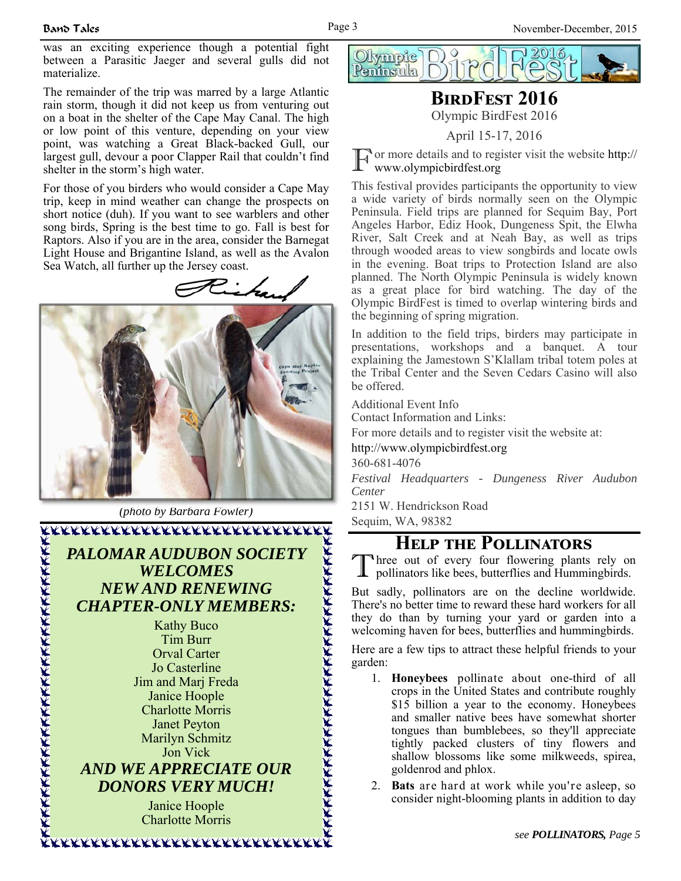was an exciting experience though a potential fight between a Parasitic Jaeger and several gulls did not materialize.

The remainder of the trip was marred by a large Atlantic rain storm, though it did not keep us from venturing out on a boat in the shelter of the Cape May Canal. The high or low point of this venture, depending on your view point, was watching a Great Black-backed Gull, our largest gull, devour a poor Clapper Rail that couldn't find shelter in the storm's high water.

For those of you birders who would consider a Cape May trip, keep in mind weather can change the prospects on short notice (duh). If you want to see warblers and other song birds, Spring is the best time to go. Fall is best for Raptors. Also if you are in the area, consider the Barnegat Light House and Brigantine Island, as well as the Avalon Sea Watch, all further up the Jersey coast.





*(photo by Barbara Fowler)* 

*PALOMAR AUDUBON SOCIETY WELCOMES NEW AND RENEWING CHAPTER-ONLY MEMBERS:* 

> Kathy Buco Tim Burr Orval Carter Jo Casterline Jim and Marj Freda Janice Hoople Charlotte Morris Janet Peyton Marilyn Schmitz Jon Vick

## *AND WE APPRECIATE OUR DONORS VERY MUCH!*

Janice Hoople Charlotte Morris



# **BIRDFEST 2016**

Olympic BirdFest 2016

#### April 15-17, 2016

or more details and to register visit the website http:// www.olympicbirdfest.org

This festival provides participants the opportunity to view a wide variety of birds normally seen on the Olympic Peninsula. Field trips are planned for Sequim Bay, Port Angeles Harbor, Ediz Hook, Dungeness Spit, the Elwha River, Salt Creek and at Neah Bay, as well as trips through wooded areas to view songbirds and locate owls in the evening. Boat trips to Protection Island are also planned. The North Olympic Peninsula is widely known as a great place for bird watching. The day of the Olympic BirdFest is timed to overlap wintering birds and the beginning of spring migration.

In addition to the field trips, birders may participate in presentations, workshops and a banquet. A tour explaining the Jamestown S'Klallam tribal totem poles at the Tribal Center and the Seven Cedars Casino will also be offered.

Additional Event Info

Contact Information and Links:

For more details and to register visit the website at:

http://www.olympicbirdfest.org

360-681-4076

*Festival Headquarters - Dungeness River Audubon Center*

2151 W. Hendrickson Road

Sequim, WA, 98382

# **HELP THE POLLINATORS**

Three out of every four flowering plants rely on pollinators like bees, butterflies and Hummingbirds.

But sadly, pollinators are on the decline worldwide. There's no better time to reward these hard workers for all they do than by turning your yard or garden into a welcoming haven for bees, butterflies and hummingbirds.

Here are a few tips to attract these helpful friends to your garden:

- 1. **Honeybees** pollinate about one-third of all crops in the United States and contribute roughly \$15 billion a year to the economy. Honeybees and smaller native bees have somewhat shorter tongues than bumblebees, so they'll appreciate tightly packed clusters of tiny flowers and shallow blossoms like some milkweeds, spirea, goldenrod and phlox.
- 2. **Bats** are hard at work while you're asleep, so consider night-blooming plants in addition to day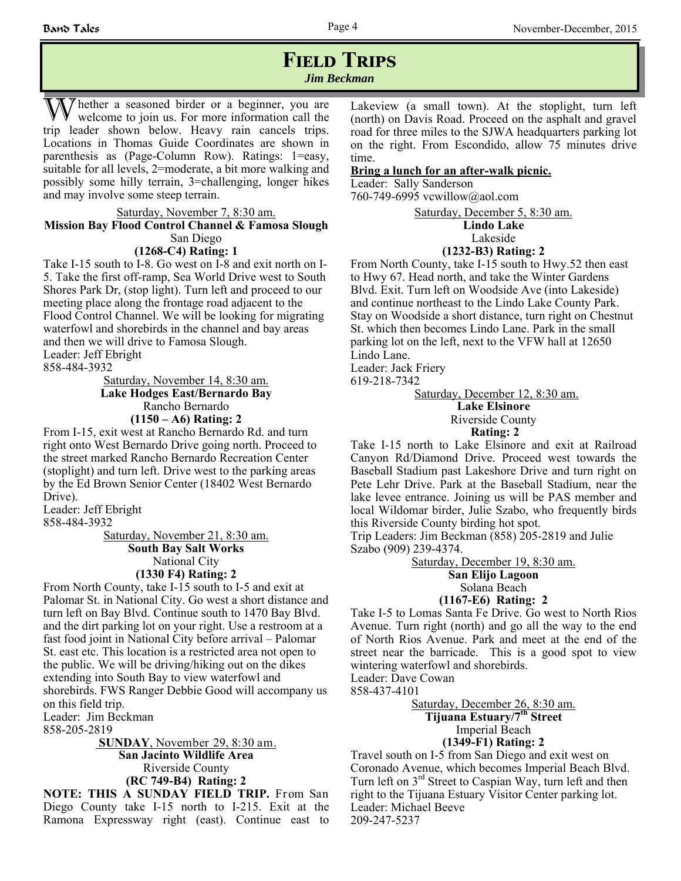### **FIELD TRIPS** *Jim Beckman*

The ther a seasoned birder or a beginner, you are welcome to join us. For more information call the trip leader shown below. Heavy rain cancels trips. Locations in Thomas Guide Coordinates are shown in parenthesis as (Page-Column Row). Ratings: 1=easy, suitable for all levels, 2=moderate, a bit more walking and possibly some hilly terrain, 3=challenging, longer hikes and may involve some steep terrain.

#### Saturday, November 7, 8:30 am. **Mission Bay Flood Control Channel & Famosa Slough** San Diego

#### **(1268-C4) Rating: 1**

Take I-15 south to I-8. Go west on I-8 and exit north on I-5. Take the first off-ramp, Sea World Drive west to South Shores Park Dr, (stop light). Turn left and proceed to our meeting place along the frontage road adjacent to the Flood Control Channel. We will be looking for migrating waterfowl and shorebirds in the channel and bay areas and then we will drive to Famosa Slough. Leader: Jeff Ebright

858-484-3932

Saturday, November 14, 8:30 am. **Lake Hodges East/Bernardo Bay** Rancho Bernardo **(1150 – A6) Rating: 2**

From I-15, exit west at Rancho Bernardo Rd. and turn right onto West Bernardo Drive going north. Proceed to the street marked Rancho Bernardo Recreation Center (stoplight) and turn left. Drive west to the parking areas by the Ed Brown Senior Center (18402 West Bernardo Drive).

Leader: Jeff Ebright

858-484-3932

Saturday, November 21, 8:30 am. **South Bay Salt Works**  National City **(1330 F4) Rating: 2**

From North County, take I-15 south to I-5 and exit at Palomar St. in National City. Go west a short distance and turn left on Bay Blvd. Continue south to 1470 Bay Blvd. and the dirt parking lot on your right. Use a restroom at a fast food joint in National City before arrival – Palomar St. east etc. This location is a restricted area not open to the public. We will be driving/hiking out on the dikes extending into South Bay to view waterfowl and shorebirds. FWS Ranger Debbie Good will accompany us on this field trip.

Leader: Jim Beckman 858-205-2819

> **SUNDAY**, November 29, 8:30 am. **San Jacinto Wildlife Area** Riverside County **(RC 749-B4) Rating: 2**

**NOTE: THIS A SUNDAY FIELD TRIP.** From San Diego County take I-15 north to I-215. Exit at the Ramona Expressway right (east). Continue east to

Lakeview (a small town). At the stoplight, turn left (north) on Davis Road. Proceed on the asphalt and gravel road for three miles to the SJWA headquarters parking lot on the right. From Escondido, allow 75 minutes drive time.

#### **Bring a lunch for an after-walk picnic.**

Leader: Sally Sanderson 760-749-6995 vcwillow@aol.com

> Saturday, December 5, 8:30 am. **Lindo Lake**

> > Lakeside

#### **(1232-B3) Rating: 2**

From North County, take I-15 south to Hwy.52 then east to Hwy 67. Head north, and take the Winter Gardens Blvd. Exit. Turn left on Woodside Ave (into Lakeside) and continue northeast to the Lindo Lake County Park. Stay on Woodside a short distance, turn right on Chestnut St. which then becomes Lindo Lane. Park in the small parking lot on the left, next to the VFW hall at 12650 Lindo Lane.

Leader: Jack Friery

619-218-7342

Saturday, December 12, 8:30 am.

**Lake Elsinore**

Riverside County

 **Rating: 2**

Take I-15 north to Lake Elsinore and exit at Railroad Canyon Rd/Diamond Drive. Proceed west towards the Baseball Stadium past Lakeshore Drive and turn right on Pete Lehr Drive. Park at the Baseball Stadium, near the lake levee entrance. Joining us will be PAS member and local Wildomar birder, Julie Szabo, who frequently birds this Riverside County birding hot spot.

Trip Leaders: Jim Beckman (858) 205-2819 and Julie Szabo (909) 239-4374.

Saturday, December 19, 8:30 am.

**San Elijo Lagoon**

Solana Beach

**(1167-E6) Rating: 2**

Take I-5 to Lomas Santa Fe Drive. Go west to North Rios Avenue. Turn right (north) and go all the way to the end of North Rios Avenue. Park and meet at the end of the street near the barricade. This is a good spot to view wintering waterfowl and shorebirds. Leader: Dave Cowan

858-437-4101

Saturday, December 26, 8:30 am. **Tijuana Estuary/7th Street** Imperial Beach

#### **(1349-F1) Rating: 2**

Travel south on I-5 from San Diego and exit west on Coronado Avenue, which becomes Imperial Beach Blvd. Turn left on 3<sup>rd</sup> Street to Caspian Way, turn left and then right to the Tijuana Estuary Visitor Center parking lot. Leader: Michael Beeve 209-247-5237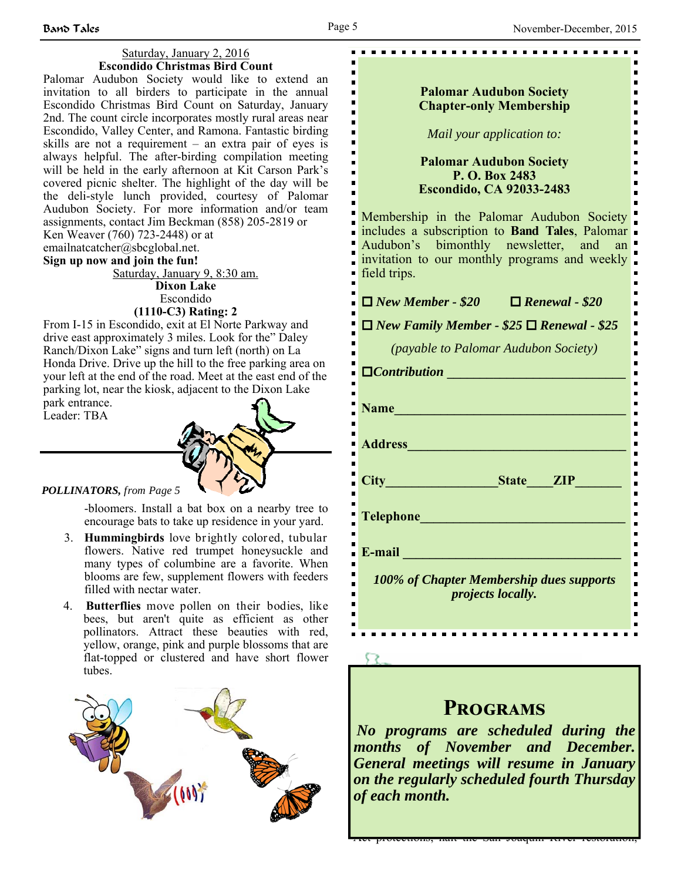$\blacksquare$ 

 $\blacksquare$  $\blacksquare$  $\blacksquare$  $\blacksquare$  $\blacksquare$  $\blacksquare$  $\blacksquare$  $\blacksquare$  $\blacksquare$  $\blacksquare$ 

#### Saturday, January 2, 2016 **Escondido Christmas Bird Count**

Palomar Audubon Society would like to extend an invitation to all birders to participate in the annual Escondido Christmas Bird Count on Saturday, January 2nd. The count circle incorporates mostly rural areas near Escondido, Valley Center, and Ramona. Fantastic birding skills are not a requirement – an extra pair of eyes is always helpful. The after-birding compilation meeting will be held in the early afternoon at Kit Carson Park's covered picnic shelter. The highlight of the day will be the deli-style lunch provided, courtesy of Palomar Audubon Society. For more information and/or team assignments, contact Jim Beckman (858) 205-2819 or Ken Weaver (760) 723-2448) or at

emailnatcatcher@sbcglobal.net.

#### **Sign up now and join the fun!**

Saturday, January 9, 8:30 am. **Dixon Lake** Escondido

#### **(1110-C3) Rating: 2**

From I-15 in Escondido, exit at El Norte Parkway and drive east approximately 3 miles. Look for the" Daley Ranch/Dixon Lake" signs and turn left (north) on La Honda Drive. Drive up the hill to the free parking area on your left at the end of the road. Meet at the east end of the parking lot, near the kiosk, adjacent to the Dixon Lake park entrance.

Leader: TBA



#### *POLLINATORS, from Page 5*

-bloomers. Install a bat box on a nearby tree to encourage bats to take up residence in your yard.

- 3. **Hummingbirds** love brightly colored, tubular flowers. Native red trumpet honeysuckle and many types of columbine are a favorite. When blooms are few, supplement flowers with feeders filled with nectar water.
- 4. **Butterflies** move pollen on their bodies, like bees, but aren't quite as efficient as other pollinators. Attract these beauties with red, yellow, orange, pink and purple blossoms that are flat-topped or clustered and have short flower tubes.



#### **Palomar Audubon Society Chapter-only Membership**

. . . . . . . . . . . . . . . . . .

*Mail your application to:* 

#### **Palomar Audubon Society P. O. Box 2483 Escondido, CA 92033-2483**

Membership in the Palomar Audubon Society includes a subscription to **Band Tales**, Palomar Audubon's bimonthly newsletter, and an invitation to our monthly programs and weekly field trips.

*New Member - \$20 Renewal - \$20* 

 $\Box$  *New Family Member - \$25*  $\Box$  *Renewal - \$25* 

*(payable to Palomar Audubon Society)* 

| $\Box$ Contribution                                                                                                                                                                                                           |
|-------------------------------------------------------------------------------------------------------------------------------------------------------------------------------------------------------------------------------|
| Name and the same state of the same state of the same state of the same state of the same state of the same state of the same state of the same state of the same state of the same state of the same state of the same state |
| Address <b>Manual Address</b>                                                                                                                                                                                                 |
| State <b>ZIP</b><br>City <u>City</u>                                                                                                                                                                                          |
| <b>Telephone Telephone</b><br><u> 1999 - Jan Barnett, fransk politiker</u>                                                                                                                                                    |
| E-mail                                                                                                                                                                                                                        |
| 100% of Chapter Membership dues supports<br><i>projects locally.</i>                                                                                                                                                          |

# **A s you read the CENTRAL INTERESTS** are attacking the CENTRAL VALLEY  $\mathbb{R}$

*No programs are scheduled during the drought has all bondance aning the programs are bondance and December.*  $a_n$  and those in Washington who would will be when  $a_n$ *General meetings will resume in January <i>on the regularly scheduled fourth Thursday* **of each month.** *of each month***.** *of drought in the set of drought in the set of drought in the set of drought in the set of drought in the set of drought in the set of drought in the set of drought in the set of droug* 

legislation in the U.S. Senate. Legislation from the House of Representatives would suspend  $\mathbb{R}^n$  and  $\mathbb{R}^n$  and  $\mathbb{R}^n$  and  $\mathbb{R}^n$  and  $\mathbb{R}^n$ Act protections, halt the San Joaquin River restoration,